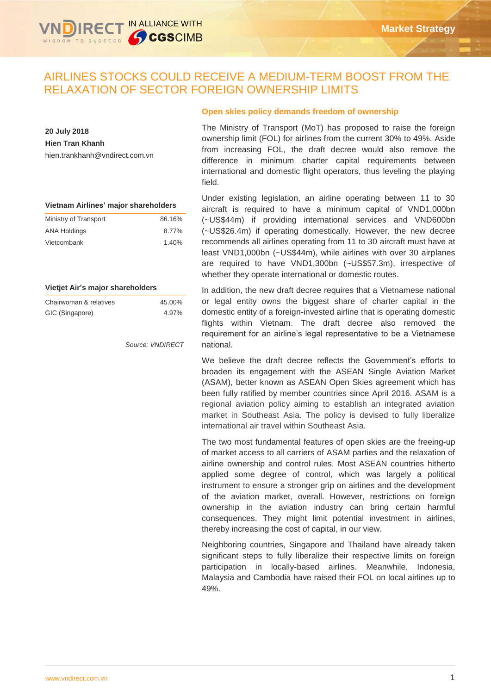# AIRLINES STOCKS COULD RECEIVE A MEDIUM-TERM BOOST FROM THE RELAXATION OF SECTOR FOREIGN OWNERSHIP LIMITS

**20 July 2018 Hien Tran Khanh** hien.trankhanh@vndirect.com.vn

| Vietnam Airlines' major shareholders |  |  |
|--------------------------------------|--|--|
|--------------------------------------|--|--|

| Ministry of Transport | 86.16% |
|-----------------------|--------|
| ANA Holdings          | 8.77%  |
| Vietcombank           | 1.40%  |

#### **Vietjet Air's major shareholders**

| Chairwoman & relatives | 45.00% |
|------------------------|--------|
| GIC (Singapore)        | 4.97%  |

*Source: VNDIRECT*

# **Open skies policy demands freedom of ownership**

The Ministry of Transport (MoT) has proposed to raise the foreign ownership limit (FOL) for airlines from the current 30% to 49%. Aside from increasing FOL, the draft decree would also remove the difference in minimum charter capital requirements between international and domestic flight operators, thus leveling the playing field.

Under existing legislation, an airline operating between 11 to 30 aircraft is required to have a minimum capital of VND1,000bn (~US\$44m) if providing international services and VND600bn (~US\$26.4m) if operating domestically. However, the new decree recommends all airlines operating from 11 to 30 aircraft must have at least VND1,000bn (~US\$44m), while airlines with over 30 airplanes are required to have VND1,300bn (~US\$57.3m), irrespective of whether they operate international or domestic routes.

In addition, the new draft decree requires that a Vietnamese national or legal entity owns the biggest share of charter capital in the domestic entity of a foreign-invested airline that is operating domestic flights within Vietnam. The draft decree also removed the requirement for an airline's legal representative to be a Vietnamese national.

We believe the draft decree reflects the Government's efforts to broaden its engagement with the ASEAN Single Aviation Market (ASAM), better known as ASEAN Open Skies agreement which has been fully ratified by member countries since April 2016. ASAM is a regional aviation policy aiming to establish an integrated aviation market in Southeast Asia. The policy is devised to fully liberalize international air travel within Southeast Asia.

The two most fundamental features of open skies are the freeing-up of market access to all carriers of ASAM parties and the relaxation of airline ownership and control rules. Most ASEAN countries hitherto applied some degree of control, which was largely a political instrument to ensure a stronger grip on airlines and the development of the aviation market, overall. However, restrictions on foreign ownership in the aviation industry can bring certain harmful consequences. They might limit potential investment in airlines, thereby increasing the cost of capital, in our view.

Neighboring countries, Singapore and Thailand have already taken significant steps to fully liberalize their respective limits on foreign participation in locally-based airlines. Meanwhile, Indonesia, Malaysia and Cambodia have raised their FOL on local airlines up to 49%.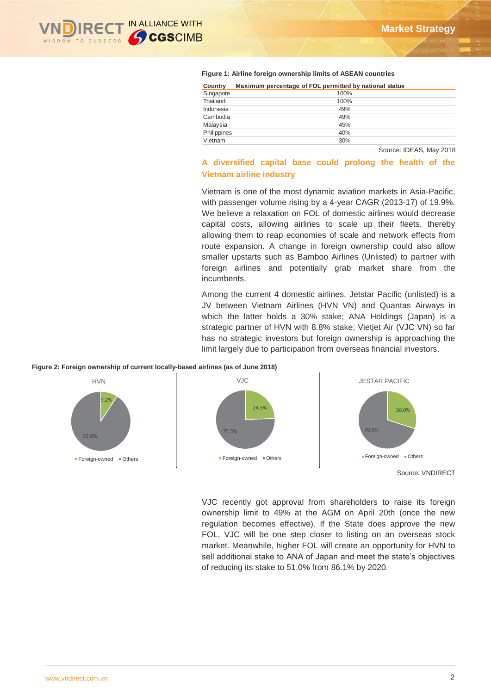

#### **Figure 1: Airline foreign ownership limits of ASEAN countries**

| Country     | Maximum percentage of FOL permitted by national statue |
|-------------|--------------------------------------------------------|
| Singapore   | 100%                                                   |
| Thailand    | 100%                                                   |
| Indonesia   | 49%                                                    |
| Cambodia    | 49%                                                    |
| Malaysia    | 45%                                                    |
| Philippines | 40%                                                    |
| Vietnam     | 30%                                                    |

Source: IDEAS, May 2018

# **A diversified capital base could prolong the health of the Vietnam airline industry**

Vietnam is one of the most dynamic aviation markets in Asia-Pacific, with passenger volume rising by a 4-year CAGR (2013-17) of 19.9%. We believe a relaxation on FOL of domestic airlines would decrease capital costs, allowing airlines to scale up their fleets, thereby allowing them to reap economies of scale and network effects from route expansion. A change in foreign ownership could also allow smaller upstarts such as Bamboo Airlines (Unlisted) to partner with foreign airlines and potentially grab market share from the incumbents.

Among the current 4 domestic airlines, Jetstar Pacific (unlisted) is a JV between Vietnam Airlines (HVN VN) and Quantas Airways in which the latter holds a 30% stake; ANA Holdings (Japan) is a strategic partner of HVN with 8.8% stake; Vietjet Air (VJC VN) so far has no strategic investors but foreign ownership is approaching the limit largely due to participation from overseas financial investors.

#### **Figure 2: Foreign ownership of current locally-based airlines (as of June 2018)**



Source: VNDIRECT

VJC recently got approval from shareholders to raise its foreign ownership limit to 49% at the AGM on April 20th (once the new regulation becomes effective). If the State does approve the new FOL, VJC will be one step closer to listing on an overseas stock market. Meanwhile, higher FOL will create an opportunity for HVN to sell additional stake to ANA of Japan and meet the state's objectives of reducing its stake to 51.0% from 86.1% by 2020.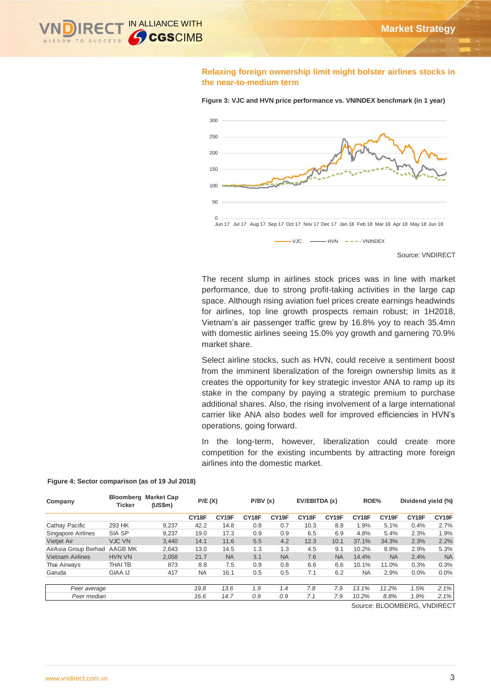

## **Relaxing foreign ownership limit might bolster airlines stocks in the near-to-medium term**



**Figure 3: VJC and HVN price performance vs. VNINDEX benchmark (in 1 year)** 

Source: VNDIRECT

The recent slump in airlines stock prices was in line with market performance, due to strong profit-taking activities in the large cap space. Although rising aviation fuel prices create earnings headwinds for airlines, top line growth prospects remain robust; in 1H2018, Vietnam's air passenger traffic grew by 16.8% yoy to reach 35.4mn with domestic airlines seeing 15.0% yoy growth and garnering 70.9% market share.

Select airline stocks, such as HVN, could receive a sentiment boost from the imminent liberalization of the foreign ownership limits as it creates the opportunity for key strategic investor ANA to ramp up its stake in the company by paying a strategic premium to purchase additional shares. Also, the rising involvement of a large international carrier like ANA also bodes well for improved efficiencies in HVN's operations, going forward.

In the long-term, however, liberalization could create more competition for the existing incumbents by attracting more foreign airlines into the domestic market.

| Company                 | Bloomberg<br><b>Ticker</b> | <b>Market Cap</b><br>$(US\$ fm $)$ | P/E(X)    |                    | P/BV(x) |                   | EV/EBITDA (x) |           | ROE%      |           | Dividend yield (%)      |                    |
|-------------------------|----------------------------|------------------------------------|-----------|--------------------|---------|-------------------|---------------|-----------|-----------|-----------|-------------------------|--------------------|
|                         |                            |                                    | CY18F     | CY <sub>19</sub> F | CY18F   | CY <sub>19F</sub> | CY18F         | CY19F     | CY18F     | CY19F     | CY18F                   | CY <sub>19</sub> F |
| Cathay Pacific          | 293 HK                     | 9,237                              | 42.2      | 14.8               | 0.8     | 0.7               | 10.3          | 8.8       | 1.9%      | 5.1%      | 0.4%                    | 2.7%               |
| Singapore Airlines      | SIA SP                     | 9,237                              | 19.0      | 17.3               | 0.9     | 0.9               | 6.5           | 6.9       | 4.8%      | 5.4%      | 2.3%                    | 1.9%               |
| Vietjet Air             | <b>VJC VN</b>              | 3.440                              | 14.1      | 11.6               | 5.5     | 4.2               | 12.3          | 10.1      | 37.1%     | 34.3%     | 2.3%                    | 2.2%               |
| AirAsia Group Berhad    | AAGB MK                    | 2,643                              | 13.0      | 14.5               | 1.3     | 1.3               | 4.5           | 9.1       | 10.2%     | 8.8%      | 2.9%                    | 5.3%               |
| <b>Vietnam Airlines</b> | <b>HVN VN</b>              | 2,058                              | 21.7      | <b>NA</b>          | 3.1     | <b>NA</b>         | 7.6           | <b>NA</b> | 14.4%     | <b>NA</b> | 2.4%                    | <b>NA</b>          |
| Thai Airways            | THAI TB                    | 873                                | 8.8       | 7.5                | 0.9     | 0.8               | 6.6           | 6.6       | 10.1%     | 11.0%     | 0.3%                    | 0.3%               |
| Garuda                  | <b>GIAA IJ</b>             | 417                                | <b>NA</b> | 16.1               | 0.5     | 0.5               | 7.1           | 6.2       | <b>NA</b> | 2.9%      | 0.0%                    | 0.0%               |
|                         |                            |                                    |           |                    |         |                   |               |           |           |           |                         |                    |
| Peer average            |                            |                                    | 19.8      | 13.6               | 1.9     | 1.4               | 7.8           | 7.9       | 13.1%     | 11.2%     | 1.5%                    | 2.1%               |
| Peer median             |                            |                                    | 16.6      | 14.7               | 0.9     | 0.9               | 7.1           | 7.9       | 10.2%     | 8.8%      | 1.9%                    | 2.1%               |
|                         |                            |                                    |           |                    |         |                   |               |           |           |           | - - - - - - - - - - - . |                    |

**Figure 4: Sector comparison (as of 19 Jul 2018)**

Source: BLOOMBERG, VNDIRECT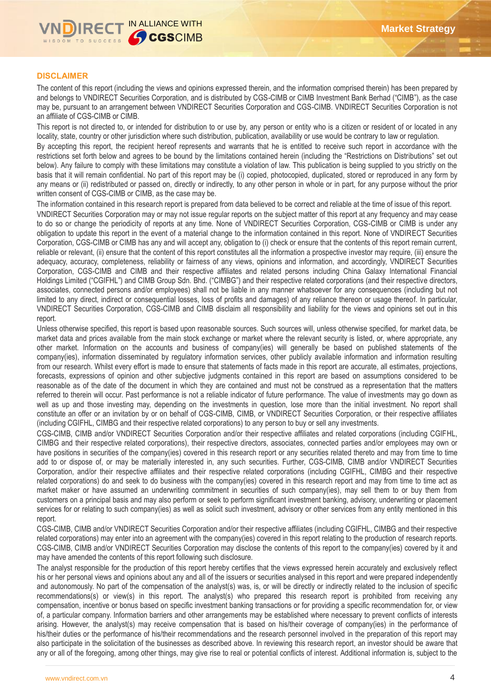

# **DISCLAIMER**

The content of this report (including the views and opinions expressed therein, and the information comprised therein) has been prepared by and belongs to VNDIRECT Securities Corporation, and is distributed by CGS-CIMB or CIMB Investment Bank Berhad ("CIMB"), as the case may be, pursuant to an arrangement between VNDIRECT Securities Corporation and CGS-CIMB. VNDIRECT Securities Corporation is not an affiliate of CGS-CIMB or CIMB.

This report is not directed to, or intended for distribution to or use by, any person or entity who is a citizen or resident of or located in any locality, state, country or other jurisdiction where such distribution, publication, availability or use would be contrary to law or regulation.

By accepting this report, the recipient hereof represents and warrants that he is entitled to receive such report in accordance with the restrictions set forth below and agrees to be bound by the limitations contained herein (including the "Restrictions on Distributions" set out below). Any failure to comply with these limitations may constitute a violation of law. This publication is being supplied to you strictly on the basis that it will remain confidential. No part of this report may be (i) copied, photocopied, duplicated, stored or reproduced in any form by any means or (ii) redistributed or passed on, directly or indirectly, to any other person in whole or in part, for any purpose without the prior written consent of CGS-CIMB or CIMB, as the case may be.

The information contained in this research report is prepared from data believed to be correct and reliable at the time of issue of this report. VNDIRECT Securities Corporation may or may not issue regular reports on the subject matter of this report at any frequency and may cease to do so or change the periodicity of reports at any time. None of VNDIRECT Securities Corporation, CGS-CIMB or CIMB is under any obligation to update this report in the event of a material change to the information contained in this report. None of VNDIRECT Securities Corporation, CGS-CIMB or CIMB has any and will accept any, obligation to (i) check or ensure that the contents of this report remain current, reliable or relevant, (ii) ensure that the content of this report constitutes all the information a prospective investor may require, (iii) ensure the adequacy, accuracy, completeness, reliability or fairness of any views, opinions and information, and accordingly, VNDIRECT Securities Corporation, CGS-CIMB and CIMB and their respective affiliates and related persons including China Galaxy International Financial Holdings Limited ("CGIFHL") and CIMB Group Sdn. Bhd. ("CIMBG") and their respective related corporations (and their respective directors, associates, connected persons and/or employees) shall not be liable in any manner whatsoever for any consequences (including but not limited to any direct, indirect or consequential losses, loss of profits and damages) of any reliance thereon or usage thereof. In particular, VNDIRECT Securities Corporation, CGS-CIMB and CIMB disclaim all responsibility and liability for the views and opinions set out in this

report.

Unless otherwise specified, this report is based upon reasonable sources. Such sources will, unless otherwise specified, for market data, be market data and prices available from the main stock exchange or market where the relevant security is listed, or, where appropriate, any other market. Information on the accounts and business of company(ies) will generally be based on published statements of the company(ies), information disseminated by regulatory information services, other publicly available information and information resulting from our research. Whilst every effort is made to ensure that statements of facts made in this report are accurate, all estimates, projections, forecasts, expressions of opinion and other subjective judgments contained in this report are based on assumptions considered to be reasonable as of the date of the document in which they are contained and must not be construed as a representation that the matters referred to therein will occur. Past performance is not a reliable indicator of future performance. The value of investments may go down as well as up and those investing may, depending on the investments in question, lose more than the initial investment. No report shall constitute an offer or an invitation by or on behalf of CGS-CIMB, CIMB, or VNDIRECT Securities Corporation, or their respective affiliates (including CGIFHL, CIMBG and their respective related corporations) to any person to buy or sell any investments.

CGS-CIMB, CIMB and/or VNDIRECT Securities Corporation and/or their respective affiliates and related corporations (including CGIFHL, CIMBG and their respective related corporations), their respective directors, associates, connected parties and/or employees may own or have positions in securities of the company(ies) covered in this research report or any securities related thereto and may from time to time add to or dispose of, or may be materially interested in, any such securities. Further, CGS-CIMB, CIMB and/or VNDIRECT Securities Corporation, and/or their respective affiliates and their respective related corporations (including CGIFHL, CIMBG and their respective related corporations) do and seek to do business with the company(ies) covered in this research report and may from time to time act as market maker or have assumed an underwriting commitment in securities of such company(ies), may sell them to or buy them from customers on a principal basis and may also perform or seek to perform significant investment banking, advisory, underwriting or placement services for or relating to such company(ies) as well as solicit such investment, advisory or other services from any entity mentioned in this report.

CGS-CIMB, CIMB and/or VNDIRECT Securities Corporation and/or their respective affiliates (including CGIFHL, CIMBG and their respective related corporations) may enter into an agreement with the company(ies) covered in this report relating to the production of research reports. CGS-CIMB, CIMB and/or VNDIRECT Securities Corporation may disclose the contents of this report to the company(ies) covered by it and may have amended the contents of this report following such disclosure.

The analyst responsible for the production of this report hereby certifies that the views expressed herein accurately and exclusively reflect his or her personal views and opinions about any and all of the issuers or securities analysed in this report and were prepared independently and autonomously. No part of the compensation of the analyst(s) was, is, or will be directly or indirectly related to the inclusion of specific recommendations(s) or view(s) in this report. The analyst(s) who prepared this research report is prohibited from receiving any compensation, incentive or bonus based on specific investment banking transactions or for providing a specific recommendation for, or view of, a particular company. Information barriers and other arrangements may be established where necessary to prevent conflicts of interests arising. However, the analyst(s) may receive compensation that is based on his/their coverage of company(ies) in the performance of his/their duties or the performance of his/their recommendations and the research personnel involved in the preparation of this report may also participate in the solicitation of the businesses as described above. In reviewing this research report, an investor should be aware that any or all of the foregoing, among other things, may give rise to real or potential conflicts of interest. Additional information is, subject to the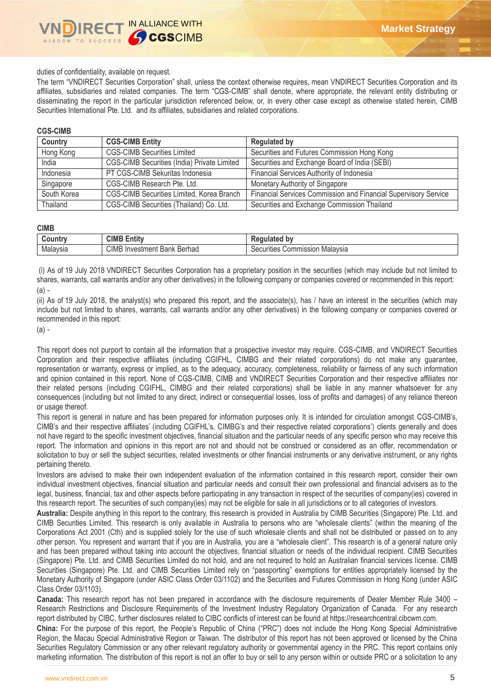#### duties of confidentiality, available on request.

The term "VNDIRECT Securities Corporation" shall, unless the context otherwise requires, mean VNDIRECT Securities Corporation and its affiliates, subsidiaries and related companies. The term "CGS-CIMB" shall denote, where appropriate, the relevant entity distributing or disseminating the report in the particular jurisdiction referenced below, or, in every other case except as otherwise stated herein, CIMB Securities International Pte. Ltd. and its affiliates, subsidiaries and related corporations.

#### **CGS-CIMB**

| Country     | <b>CGS-CIMB Entity</b>                      | <b>Regulated by</b>                                             |
|-------------|---------------------------------------------|-----------------------------------------------------------------|
| Hong Kong   | <b>CGS-CIMB Securities Limited</b>          | Securities and Futures Commission Hong Kong                     |
| India       | CGS-CIMB Securities (India) Private Limited | Securities and Exchange Board of India (SEBI)                   |
| Indonesia   | PT CGS-CIMB Sekuritas Indonesia             | Financial Services Authority of Indonesia                       |
| Singapore   | CGS-CIMB Research Pte. Ltd.                 | Monetary Authority of Singapore                                 |
| South Korea | CGS-CIMB Securities Limited, Korea Branch   | Financial Services Commission and Financial Supervisory Service |
| Thailand    | CGS-CIMB Securities (Thailand) Co. Ltd.     | Securities and Exchange Commission Thailand                     |

#### **CIMB**

| .              | --<br>CIMB<br>$\overline{1}$<br>∶ntit             | bv<br>.<br>$\cdot$                                                   |
|----------------|---------------------------------------------------|----------------------------------------------------------------------|
| Mala<br>laysia | CIM<br>Berhad<br>، ا مص<br>ulvestm<br>ner<br>sanr | ommission<br>Malavsia<br><i>vities</i><br>$\Omega$<br>$\overline{1}$ |

(i) As of 19 July 2018 VNDIRECT Securities Corporation has a proprietary position in the securities (which may include but not limited to shares, warrants, call warrants and/or any other derivatives) in the following company or companies covered or recommended in this report: (a) -

(ii) As of 19 July 2018, the analyst(s) who prepared this report, and the associate(s), has / have an interest in the securities (which may include but not limited to shares, warrants, call warrants and/or any other derivatives) in the following company or companies covered or recommended in this report:

(a) -

This report does not purport to contain all the information that a prospective investor may require. CGS-CIMB, and VNDIRECT Securities Corporation and their respective affiliates (including CGIFHL, CIMBG and their related corporations) do not make any guarantee, representation or warranty, express or implied, as to the adequacy, accuracy, completeness, reliability or fairness of any such information and opinion contained in this report. None of CGS-CIMB, CIMB and VNDIRECT Securities Corporation and their respective affiliates nor their related persons (including CGIFHL, CIMBG and their related corporations) shall be liable in any manner whatsoever for any consequences (including but not limited to any direct, indirect or consequential losses, loss of profits and damages) of any reliance thereon or usage thereof.

This report is general in nature and has been prepared for information purposes only. It is intended for circulation amongst CGS-CIMB's, CIMB's and their respective affiliates' (including CGIFHL's, CIMBG's and their respective related corporations') clients generally and does not have regard to the specific investment objectives, financial situation and the particular needs of any specific person who may receive this report. The information and opinions in this report are not and should not be construed or considered as an offer, recommendation or solicitation to buy or sell the subject securities, related investments or other financial instruments or any derivative instrument, or any rights pertaining thereto.

Investors are advised to make their own independent evaluation of the information contained in this research report, consider their own individual investment objectives, financial situation and particular needs and consult their own professional and financial advisers as to the legal, business, financial, tax and other aspects before participating in any transaction in respect of the securities of company(ies) covered in this research report. The securities of such company(ies) may not be eligible for sale in all jurisdictions or to all categories of investors.

**Australia:** Despite anything in this report to the contrary, this research is provided in Australia by CIMB Securities (Singapore) Pte. Ltd. and CIMB Securities Limited. This research is only available in Australia to persons who are "wholesale clients" (within the meaning of the Corporations Act 2001 (Cth) and is supplied solely for the use of such wholesale clients and shall not be distributed or passed on to any other person. You represent and warrant that if you are in Australia, you are a "wholesale client". This research is of a general nature only and has been prepared without taking into account the objectives, financial situation or needs of the individual recipient. CIMB Securities (Singapore) Pte. Ltd. and CIMB Securities Limited do not hold, and are not required to hold an Australian financial services license. CIMB Securities (Singapore) Pte. Ltd. and CIMB Securities Limited rely on "passporting" exemptions for entities appropriately licensed by the Monetary Authority of Singapore (under ASIC Class Order 03/1102) and the Securities and Futures Commission in Hong Kong (under ASIC Class Order 03/1103).

**Canada:** This research report has not been prepared in accordance with the disclosure requirements of Dealer Member Rule 3400 – Research Restrictions and Disclosure Requirements of the Investment Industry Regulatory Organization of Canada. For any research report distributed by CIBC, further disclosures related to CIBC conflicts of interest can be found at https://researchcentral.cibcwm.com.

**China:** For the purpose of this report, the People's Republic of China ("PRC") does not include the Hong Kong Special Administrative Region, the Macau Special Administrative Region or Taiwan. The distributor of this report has not been approved or licensed by the China Securities Regulatory Commission or any other relevant regulatory authority or governmental agency in the PRC. This report contains only marketing information. The distribution of this report is not an offer to buy or sell to any person within or outside PRC or a solicitation to any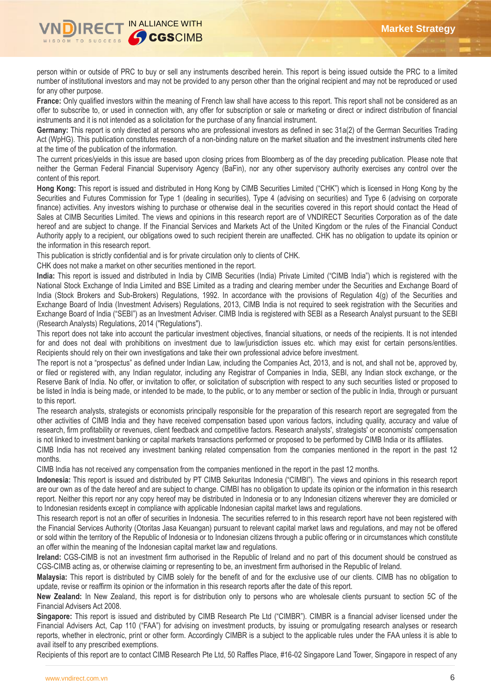

person within or outside of PRC to buy or sell any instruments described herein. This report is being issued outside the PRC to a limited number of institutional investors and may not be provided to any person other than the original recipient and may not be reproduced or used for any other purpose.

**France:** Only qualified investors within the meaning of French law shall have access to this report. This report shall not be considered as an offer to subscribe to, or used in connection with, any offer for subscription or sale or marketing or direct or indirect distribution of financial instruments and it is not intended as a solicitation for the purchase of any financial instrument.

**Germany:** This report is only directed at persons who are professional investors as defined in sec 31a(2) of the German Securities Trading Act (WpHG). This publication constitutes research of a non-binding nature on the market situation and the investment instruments cited here at the time of the publication of the information.

The current prices/yields in this issue are based upon closing prices from Bloomberg as of the day preceding publication. Please note that neither the German Federal Financial Supervisory Agency (BaFin), nor any other supervisory authority exercises any control over the content of this report.

**Hong Kong:** This report is issued and distributed in Hong Kong by CIMB Securities Limited ("CHK") which is licensed in Hong Kong by the Securities and Futures Commission for Type 1 (dealing in securities), Type 4 (advising on securities) and Type 6 (advising on corporate finance) activities. Any investors wishing to purchase or otherwise deal in the securities covered in this report should contact the Head of Sales at CIMB Securities Limited. The views and opinions in this research report are of VNDIRECT Securities Corporation as of the date hereof and are subject to change. If the Financial Services and Markets Act of the United Kingdom or the rules of the Financial Conduct Authority apply to a recipient, our obligations owed to such recipient therein are unaffected. CHK has no obligation to update its opinion or the information in this research report.

This publication is strictly confidential and is for private circulation only to clients of CHK.

CHK does not make a market on other securities mentioned in the report.

**India:** This report is issued and distributed in India by CIMB Securities (India) Private Limited ("CIMB India") which is registered with the National Stock Exchange of India Limited and BSE Limited as a trading and clearing member under the Securities and Exchange Board of India (Stock Brokers and Sub-Brokers) Regulations, 1992. In accordance with the provisions of Regulation 4(g) of the Securities and Exchange Board of India (Investment Advisers) Regulations, 2013, CIMB India is not required to seek registration with the Securities and Exchange Board of India ("SEBI") as an Investment Adviser. CIMB India is registered with SEBI as a Research Analyst pursuant to the SEBI (Research Analysts) Regulations, 2014 ("Regulations").

This report does not take into account the particular investment objectives, financial situations, or needs of the recipients. It is not intended for and does not deal with prohibitions on investment due to law/jurisdiction issues etc. which may exist for certain persons/entities. Recipients should rely on their own investigations and take their own professional advice before investment.

The report is not a "prospectus" as defined under Indian Law, including the Companies Act, 2013, and is not, and shall not be, approved by, or filed or registered with, any Indian regulator, including any Registrar of Companies in India, SEBI, any Indian stock exchange, or the Reserve Bank of India. No offer, or invitation to offer, or solicitation of subscription with respect to any such securities listed or proposed to be listed in India is being made, or intended to be made, to the public, or to any member or section of the public in India, through or pursuant to this report.

The research analysts, strategists or economists principally responsible for the preparation of this research report are segregated from the other activities of CIMB India and they have received compensation based upon various factors, including quality, accuracy and value of research, firm profitability or revenues, client feedback and competitive factors. Research analysts', strategists' or economists' compensation is not linked to investment banking or capital markets transactions performed or proposed to be performed by CIMB India or its affiliates.

CIMB India has not received any investment banking related compensation from the companies mentioned in the report in the past 12 months.

CIMB India has not received any compensation from the companies mentioned in the report in the past 12 months.

**Indonesia:** This report is issued and distributed by PT CIMB Sekuritas Indonesia ("CIMBI"). The views and opinions in this research report are our own as of the date hereof and are subject to change. CIMBI has no obligation to update its opinion or the information in this research report. Neither this report nor any copy hereof may be distributed in Indonesia or to any Indonesian citizens wherever they are domiciled or to Indonesian residents except in compliance with applicable Indonesian capital market laws and regulations.

This research report is not an offer of securities in Indonesia. The securities referred to in this research report have not been registered with the Financial Services Authority (Otoritas Jasa Keuangan) pursuant to relevant capital market laws and regulations, and may not be offered or sold within the territory of the Republic of Indonesia or to Indonesian citizens through a public offering or in circumstances which constitute an offer within the meaning of the Indonesian capital market law and regulations.

**Ireland:** CGS-CIMB is not an investment firm authorised in the Republic of Ireland and no part of this document should be construed as CGS-CIMB acting as, or otherwise claiming or representing to be, an investment firm authorised in the Republic of Ireland.

**Malaysia:** This report is distributed by CIMB solely for the benefit of and for the exclusive use of our clients. CIMB has no obligation to update, revise or reaffirm its opinion or the information in this research reports after the date of this report.

**New Zealand:** In New Zealand, this report is for distribution only to persons who are wholesale clients pursuant to section 5C of the Financial Advisers Act 2008.

**Singapore:** This report is issued and distributed by CIMB Research Pte Ltd ("CIMBR"). CIMBR is a financial adviser licensed under the Financial Advisers Act, Cap 110 ("FAA") for advising on investment products, by issuing or promulgating research analyses or research reports, whether in electronic, print or other form. Accordingly CIMBR is a subject to the applicable rules under the FAA unless it is able to avail itself to any prescribed exemptions.

Recipients of this report are to contact CIMB Research Pte Ltd, 50 Raffles Place, #16-02 Singapore Land Tower, Singapore in respect of any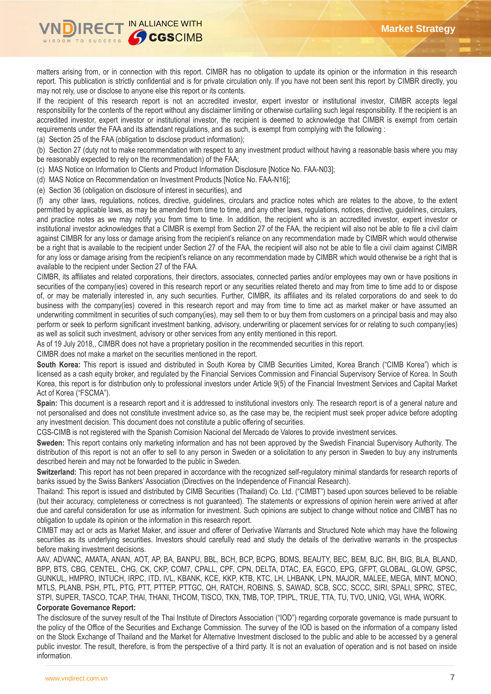

matters arising from, or in connection with this report. CIMBR has no obligation to update its opinion or the information in this research report. This publication is strictly confidential and is for private circulation only. If you have not been sent this report by CIMBR directly, you may not rely, use or disclose to anyone else this report or its contents.

If the recipient of this research report is not an accredited investor, expert investor or institutional investor, CIMBR accepts legal responsibility for the contents of the report without any disclaimer limiting or otherwise curtailing such legal responsibility. If the recipient is an accredited investor, expert investor or institutional investor, the recipient is deemed to acknowledge that CIMBR is exempt from certain requirements under the FAA and its attendant regulations, and as such, is exempt from complying with the following :

(a) Section 25 of the FAA (obligation to disclose product information);

(b) Section 27 (duty not to make recommendation with respect to any investment product without having a reasonable basis where you may be reasonably expected to rely on the recommendation) of the FAA;

(c) MAS Notice on Information to Clients and Product Information Disclosure [Notice No. FAA-N03];

(d) MAS Notice on Recommendation on Investment Products [Notice No. FAA-N16];

(e) Section 36 (obligation on disclosure of interest in securities), and

(f) any other laws, regulations, notices, directive, guidelines, circulars and practice notes which are relates to the above, to the extent permitted by applicable laws, as may be amended from time to time, and any other laws, regulations, notices, directive, guidelines, circulars, and practice notes as we may notify you from time to time. In addition, the recipient who is an accredited investor, expert investor or institutional investor acknowledges that a CIMBR is exempt from Section 27 of the FAA, the recipient will also not be able to file a civil claim against CIMBR for any loss or damage arising from the recipient's reliance on any recommendation made by CIMBR which would otherwise be a right that is available to the recipient under Section 27 of the FAA, the recipient will also not be able to file a civil claim against CIMBR for any loss or damage arising from the recipient's reliance on any recommendation made by CIMBR which would otherwise be a right that is available to the recipient under Section 27 of the FAA.

CIMBR, its affiliates and related corporations, their directors, associates, connected parties and/or employees may own or have positions in securities of the company(ies) covered in this research report or any securities related thereto and may from time to time add to or dispose of, or may be materially interested in, any such securities. Further, CIMBR, its affiliates and its related corporations do and seek to do business with the company(ies) covered in this research report and may from time to time act as market maker or have assumed an underwriting commitment in securities of such company(ies), may sell them to or buy them from customers on a principal basis and may also perform or seek to perform significant investment banking, advisory, underwriting or placement services for or relating to such company(ies) as well as solicit such investment, advisory or other services from any entity mentioned in this report.

As of 19 July 2018,, CIMBR does not have a proprietary position in the recommended securities in this report.

CIMBR does not make a market on the securities mentioned in the report.

**South Korea:** This report is issued and distributed in South Korea by CIMB Securities Limited, Korea Branch ("CIMB Korea") which is licensed as a cash equity broker, and regulated by the Financial Services Commission and Financial Supervisory Service of Korea. In South Korea, this report is for distribution only to professional investors under Article 9(5) of the Financial Investment Services and Capital Market Act of Korea ("FSCMA").

**Spain:** This document is a research report and it is addressed to institutional investors only. The research report is of a general nature and not personalised and does not constitute investment advice so, as the case may be, the recipient must seek proper advice before adopting any investment decision. This document does not constitute a public offering of securities.

CGS-CIMB is not registered with the Spanish Comision Nacional del Mercado de Valores to provide investment services.

**Sweden:** This report contains only marketing information and has not been approved by the Swedish Financial Supervisory Authority. The distribution of this report is not an offer to sell to any person in Sweden or a solicitation to any person in Sweden to buy any instruments described herein and may not be forwarded to the public in Sweden.

**Switzerland:** This report has not been prepared in accordance with the recognized self-regulatory minimal standards for research reports of banks issued by the Swiss Bankers' Association (Directives on the Independence of Financial Research).

Thailand: This report is issued and distributed by CIMB Securities (Thailand) Co. Ltd. ("CIMBT") based upon sources believed to be reliable (but their accuracy, completeness or correctness is not guaranteed). The statements or expressions of opinion herein were arrived at after due and careful consideration for use as information for investment. Such opinions are subject to change without notice and CIMBT has no obligation to update its opinion or the information in this research report.

CIMBT may act or acts as Market Maker, and issuer and offerer of Derivative Warrants and Structured Note which may have the following securities as its underlying securities. Investors should carefully read and study the details of the derivative warrants in the prospectus before making investment decisions.

AAV, ADVANC, AMATA, ANAN, AOT, AP, BA, BANPU, BBL, BCH, BCP, BCPG, BDMS, BEAUTY, BEC, BEM, BJC, BH, BIG, BLA, BLAND, BPP, BTS, CBG, CENTEL, CHG, CK, CKP, COM7, CPALL, CPF, CPN, DELTA, DTAC, EA, EGCO, EPG, GFPT, GLOBAL, GLOW, GPSC, GUNKUL, HMPRO, INTUCH, IRPC, ITD, IVL, KBANK, KCE, KKP, KTB, KTC, LH, LHBANK, LPN, MAJOR, MALEE, MEGA, MINT, MONO, MTLS, PLANB, PSH, PTL, PTG, PTT, PTTEP, PTTGC, QH, RATCH, ROBINS, S, SAWAD, SCB, SCC, SCCC, SIRI, SPALI, SPRC, STEC, STPI, SUPER, TASCO, TCAP, THAI, THANI, THCOM, TISCO, TKN, TMB, TOP, TPIPL, TRUE, TTA, TU, TVO, UNIQ, VGI, WHA, WORK.

#### **Corporate Governance Report:**

The disclosure of the survey result of the Thai Institute of Directors Association ("IOD") regarding corporate governance is made pursuant to the policy of the Office of the Securities and Exchange Commission. The survey of the IOD is based on the information of a company listed on the Stock Exchange of Thailand and the Market for Alternative Investment disclosed to the public and able to be accessed by a general public investor. The result, therefore, is from the perspective of a third party. It is not an evaluation of operation and is not based on inside information.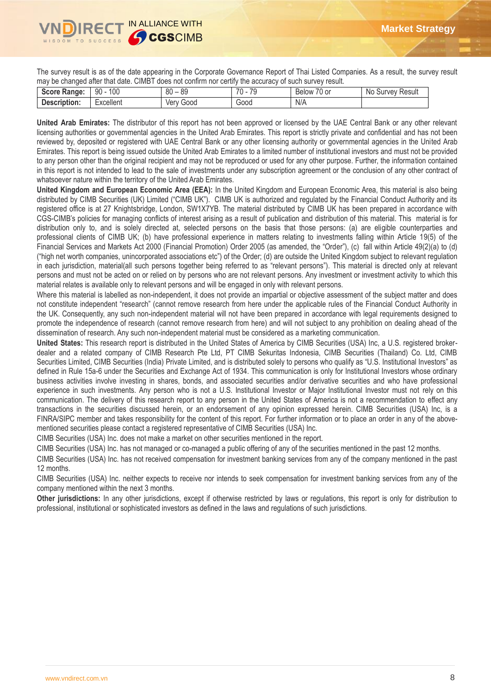

The survey result is as of the date appearing in the Corporate Governance Report of Thai Listed Companies. As a result, the survey result may be changed after that date. CIMBT does not confirm nor certify the accuracy of such survey result.

| S<br>Range:<br>ocore | 100<br>90 | $\circ$<br>0 <sup>0</sup><br>೦೮<br>ັບບ | 70<br>70<br>$\overline{\phantom{a}}$ | $\sim$ $\sim$<br>0 or<br>Below | Result<br>Νc<br><b>UIVEV'</b> |
|----------------------|-----------|----------------------------------------|--------------------------------------|--------------------------------|-------------------------------|
| Description:         | Excellent | G000<br>ver                            | G000                                 | N/A                            |                               |
|                      |           |                                        |                                      |                                |                               |

**United Arab Emirates:** The distributor of this report has not been approved or licensed by the UAE Central Bank or any other relevant licensing authorities or governmental agencies in the United Arab Emirates. This report is strictly private and confidential and has not been reviewed by, deposited or registered with UAE Central Bank or any other licensing authority or governmental agencies in the United Arab Emirates. This report is being issued outside the United Arab Emirates to a limited number of institutional investors and must not be provided to any person other than the original recipient and may not be reproduced or used for any other purpose. Further, the information contained in this report is not intended to lead to the sale of investments under any subscription agreement or the conclusion of any other contract of whatsoever nature within the territory of the United Arab Emirates.

**United Kingdom and European Economic Area (EEA):** In the United Kingdom and European Economic Area, this material is also being distributed by CIMB Securities (UK) Limited ("CIMB UK"). CIMB UK is authorized and regulated by the Financial Conduct Authority and its registered office is at 27 Knightsbridge, London, SW1X7YB. The material distributed by CIMB UK has been prepared in accordance with CGS-CIMB's policies for managing conflicts of interest arising as a result of publication and distribution of this material. This material is for distribution only to, and is solely directed at, selected persons on the basis that those persons: (a) are eligible counterparties and professional clients of CIMB UK; (b) have professional experience in matters relating to investments falling within Article 19(5) of the Financial Services and Markets Act 2000 (Financial Promotion) Order 2005 (as amended, the "Order"), (c) fall within Article 49(2)(a) to (d) ("high net worth companies, unincorporated associations etc") of the Order; (d) are outside the United Kingdom subject to relevant regulation in each jurisdiction, material(all such persons together being referred to as "relevant persons"). This material is directed only at relevant persons and must not be acted on or relied on by persons who are not relevant persons. Any investment or investment activity to which this material relates is available only to relevant persons and will be engaged in only with relevant persons.

Where this material is labelled as non-independent, it does not provide an impartial or objective assessment of the subject matter and does not constitute independent "research" (cannot remove research from here under the applicable rules of the Financial Conduct Authority in the UK. Consequently, any such non-independent material will not have been prepared in accordance with legal requirements designed to promote the independence of research (cannot remove research from here) and will not subject to any prohibition on dealing ahead of the dissemination of research. Any such non-independent material must be considered as a marketing communication.

**United States:** This research report is distributed in the United States of America by CIMB Securities (USA) Inc, a U.S. registered brokerdealer and a related company of CIMB Research Pte Ltd, PT CIMB Sekuritas Indonesia, CIMB Securities (Thailand) Co. Ltd, CIMB Securities Limited, CIMB Securities (India) Private Limited, and is distributed solely to persons who qualify as "U.S. Institutional Investors" as defined in Rule 15a-6 under the Securities and Exchange Act of 1934. This communication is only for Institutional Investors whose ordinary business activities involve investing in shares, bonds, and associated securities and/or derivative securities and who have professional experience in such investments. Any person who is not a U.S. Institutional Investor or Major Institutional Investor must not rely on this communication. The delivery of this research report to any person in the United States of America is not a recommendation to effect any transactions in the securities discussed herein, or an endorsement of any opinion expressed herein. CIMB Securities (USA) Inc, is a FINRA/SIPC member and takes responsibility for the content of this report. For further information or to place an order in any of the abovementioned securities please contact a registered representative of CIMB Securities (USA) Inc.

CIMB Securities (USA) Inc. does not make a market on other securities mentioned in the report.

CIMB Securities (USA) Inc. has not managed or co-managed a public offering of any of the securities mentioned in the past 12 months.

CIMB Securities (USA) Inc. has not received compensation for investment banking services from any of the company mentioned in the past 12 months.

CIMB Securities (USA) Inc. neither expects to receive nor intends to seek compensation for investment banking services from any of the company mentioned within the next 3 months.

**Other jurisdictions:** In any other jurisdictions, except if otherwise restricted by laws or regulations, this report is only for distribution to professional, institutional or sophisticated investors as defined in the laws and regulations of such jurisdictions.